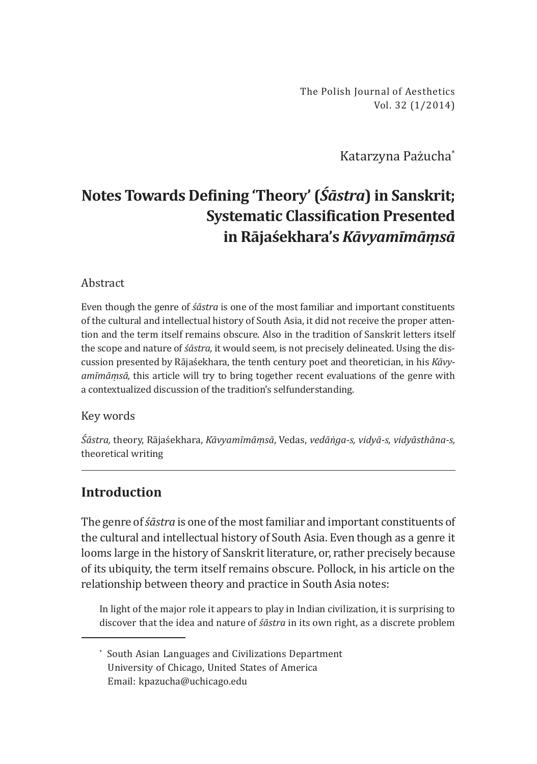The Polish Journal of Aesthetics Vol. 32 (1/2014)

Katarzyna Pażucha\*

# **Notes Towards Defining 'Theory' (***Śāstra***) in Sanskrit; Systematic Classification Presented in Rājaśekhara's** *Kāvyamīmāṃsā*

### Abstract

Even though the genre of *śāstra* is one of the most familiar and important constituents of the cultural and intellectual history of South Asia, it did not receive the proper attention and the term itself remains obscure. Also in the tradition of Sanskrit letters itself the scope and nature of *śāstra,* it would seem*,* is not precisely delineated. Using the discussion presented by Rājaśekhara, the tenth century poet and theoretician, in his *Kāvyamīmāṃsā,* this article will try to bring together recent evaluations of the genre with a contextualized discussion of the tradition's selfunderstanding.

#### Key words

*Śāstra,* theory, Rājaśekhara, *Kāvyamīmāṃsā*, Vedas, *vedāṅga-s, vidyā-s, vidyāsthāna-s,* theoretical writing

# **Introduction**

The genre of *śāstra* is one of the most familiar and important constituents of the cultural and intellectual history of South Asia. Even though as a genre it looms large in the history of Sanskrit literature, or, rather precisely because of its ubiquity, the term itself remains obscure. Pollock, in his article on the relationship between theory and practice in South Asia notes:

In light of the major role it appears to play in Indian civilization, it is surprising to discover that the idea and nature of *śāstra* in its own right, as a discrete problem

<sup>\*</sup> South Asian Languages and Civilizations Department University of Chicago, United States of America Email: kpazucha@uchicago.edu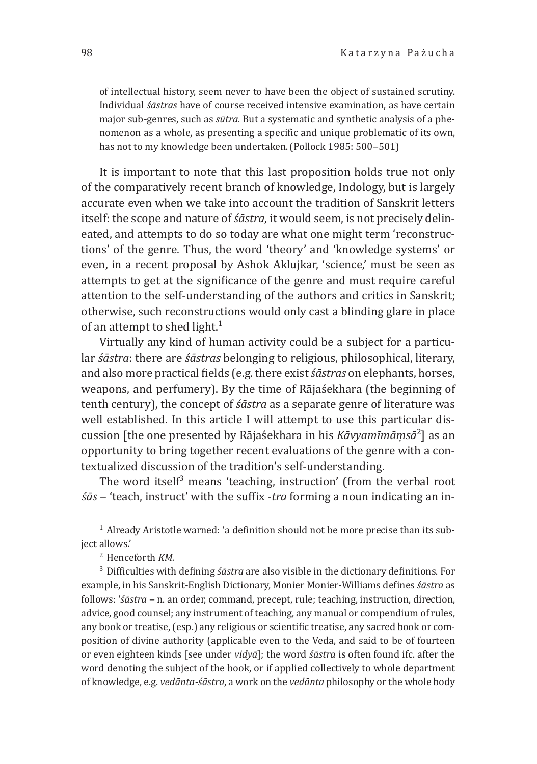of intellectual history, seem never to have been the object of sustained scrutiny. Individual *śāstras* have of course received intensive examination, as have certain major sub-genres, such as *sūtra.* But a systematic and synthetic analysis of a phenomenon as a whole, as presenting a specific and unique problematic of its own, has not to my knowledge been undertaken. (Pollock 1985: 500-501)

It is important to note that this last proposition holds true not only of the comparatively recent branch of knowledge, Indology, but is largely accurate even when we take into account the tradition of Sanskrit letters itself: the scope and nature of *śāstra*, it would seem, is not precisely delineated, and attempts to do so today are what one might term 'reconstructions' of the genre. Thus, the word 'theory' and 'knowledge systems' or even, in a recent proposal by Ashok Aklujkar, 'science,' must be seen as attempts to get at the significance of the genre and must require careful attention to the self-understanding of the authors and critics in Sanskrit; otherwise, such reconstructions would only cast a blinding glare in place of an attempt to shed light. $1$ 

Virtually any kind of human activity could be a subject for a particular *śāstra*: there are *śāstras* belonging to religious, philosophical, literary, and also more practical fields (e.g. there exist *śāstras* on elephants, horses, weapons, and perfumery). By the time of Rājaśekhara (the beginning of tenth century), the concept of *śāstra* as a separate genre of literature was well established. In this article I will attempt to use this particular discussion [the one presented by Rājaśekhara in his *Kāvyamīmāṃsā*<sup>2</sup> ] as an opportunity to bring together recent evaluations of the genre with a contextualized discussion of the tradition's self-understanding.

The word itself<sup>3</sup> means 'teaching, instruction' (from the verbal root *śās* ‒ 'teach, instruct' with the suffix -*tra* forming a noun indicating an in-

 $1$  Already Aristotle warned: 'a definition should not be more precise than its subject allows.'

<sup>&</sup>lt;sup>2</sup> Henceforth *KM*.

<sup>3</sup> Difficulties with defining *śāstra* are also visible in the dictionary definitions. For example, in his Sanskrit-English Dictionary, Monier Monier-Williams defines *śāstra* as follows: '*śāstra* - n. an order, command, precept, rule; teaching, instruction, direction, advice, good counsel; any instrument of teaching, any manual or compendium of rules, any book or treatise, (esp.) any religious or scientific treatise, any sacred book or composition of divine authority (applicable even to the Veda, and said to be of fourteen or even eighteen kinds [see under *vidyā*]; the word *śāstra* is often found ifc. after the word denoting the subject of the book, or if applied collectively to whole department of knowledge, e.g. *vedānta-śāstra*, a work on the *vedānta* philosophy or the whole body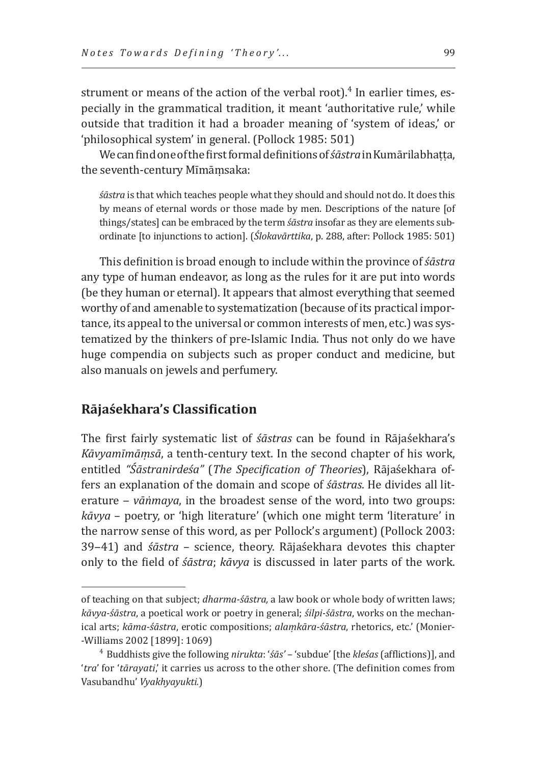strument or means of the action of the verbal root).<sup>4</sup> In earlier times, especially in the grammatical tradition, it meant 'authoritative rule,' while outside that tradition it had a broader meaning of 'system of ideas,' or 'philosophical system' in general. (Pollock 1985: 501)

We can find one of the first formal definitions of *śāstra* in Kumārilabhaṭṭa, the seventh-century Mīmāṃsaka:

*śāstra* is that which teaches people what they should and should not do. It does this by means of eternal words or those made by men. Descriptions of the nature [of things/states] can be embraced by the term *śāstra* insofar as they are elements subordinate [to injunctions to action]. (*Ślokavārttika*, p. 288, after: Pollock 1985: 501)

This definition is broad enough to include within the province of *śāstra* any type of human endeavor, as long as the rules for it are put into words (be they human or eternal). It appears that almost everything that seemed worthy of and amenable to systematization (because of its practical importance, its appeal to the universal or common interests of men, etc.) was systematized by the thinkers of pre-Islamic India. Thus not only do we have huge compendia on subjects such as proper conduct and medicine, but also manuals on jewels and perfumery.

## **Rājaśekhara's Classification**

The first fairly systematic list of *śāstras* can be found in Rājaśekhara's *Kāvyamīmāṃsā*, a tenth-century text. In the second chapter of his work, entitled *"Śāstranirdeśa"* (*The Specification of Theories*), Rājaśekhara offers an explanation of the domain and scope of *śāstras*. He divides all literature – *vāṅmaya*, in the broadest sense of the word, into two groups: *kāvya* – poetry, or 'high literature' (which one might term 'literature' in the narrow sense of this word, as per Pollock's argument) (Pollock 2003: 39‒41) and *śāstra* – science, theory. Rājaśekhara devotes this chapter only to the field of *śāstra*; *kāvya* is discussed in later parts of the work.

of teaching on that subject; *dharma-śāstra,* a law book or whole body of written laws; *kāvya-śāstra*, a poetical work or poetry in general; *śilpi-śāstra*, works on the mechanical arts; *kāma-śāstra*, erotic compositions; *alaṃkāra-śāstra*, rhetorics, etc.' (Monier- -Williams 2002 [1899]: 1069)

<sup>4</sup>Buddhists give the following *nirukta*: '*śās' –* 'subdue' [the *kleśas* (afflictions)], and '*tra*' for '*tārayati*,' it carries us across to the other shore. (The definition comes from Vasubandhu' *Vyakhyayukti.*)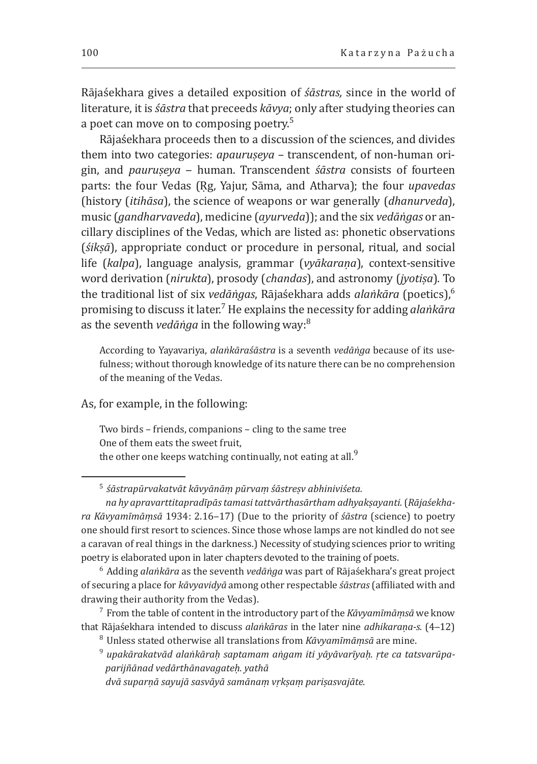Rājaśekhara gives a detailed exposition of *śāstras,* since in the world of literature, it is *śāstra* that preceeds *kāvya*; only after studying theories can a poet can move on to composing poetry.<sup>5</sup>

Rājaśekhara proceeds then to a discussion of the sciences, and divides them into two categories: *apauruseya –* transcendent, of non-human origin, and *pauruṣeya* ‒ human. Transcendent *śāstra* consists of fourteen parts: the four Vedas (Ṛg, Yajur, Sāma, and Atharva); the four *upavedas* (history (*itihāsa*), the science of weapons or war generally (*dhanurveda*), music (*gandharvaveda*), medicine (*ayurveda*)); and the six *vedāṅgas* or ancillary disciplines of the Vedas, which are listed as: phonetic observations (*śikṣā*), appropriate conduct or procedure in personal, ritual, and social life (*kalpa*), language analysis, grammar (*vyākaraṇa*), context-sensitive word derivation (*nirukta*), prosody (*chandas*), and astronomy (*jyotiṣa*). To the traditional list of six *vedāṅgas*, Rājaśekhara adds *alaṅkāra* (poetics),<sup>6</sup> promising to discuss it later.7 He explains the necessity for adding *alaṅkāra* as the seventh *vedāṅga* in the following way:8

According to Yayavariya, *alaṅkāraśāstra* is a seventh *vedāṅga* because of its usefulness; without thorough knowledge of its nature there can be no comprehension of the meaning of the Vedas.

As, for example, in the following:

Two birds – friends, companions – cling to the same tree One of them eats the sweet fruit, the other one keeps watching continually, not eating at all.<sup>9</sup>

<sup>5</sup>*śāstrapūrvakatvāt kāvyānāṃ pūrvaṃ śāstreṣv abhiniviśeta. na hy apravarttitapradīpās tamasi tattvārthasārtham adhyakṣayanti.* (*Rājaśekhara Kāvyamīmāṃsā* 1934: 2.16‒17) (Due to the priority of *śāstra* (science) to poetry one should first resort to sciences. Since those whose lamps are not kindled do not see a caravan of real things in the darkness.) Necessity of studying sciences prior to writing

poetry is elaborated upon in later chapters devoted to the training of poets.

<sup>6</sup> Adding *alaṅkāra* as the seventh *vedāṅga* was part of Rājaśekhara's great project of securing a place for *kāvyavidyā* among other respectable *śāstras* (affiliated with and drawing their authority from the Vedas).

7 From the table of content in the introductory part of the *Kāvyamīmāṃsā* we know that Rājaśekhara intended to discuss *alaṅkāras* in the later nine *adhikaraṇa-s.* (4‒12)

<sup>8</sup>Unless stated otherwise all translations from *Kāvyamīmāṃsā* are mine.

<sup>9</sup>*upakārakatvād alaṅkāraḥ saptamam aṅgam iti yāyāvarīyaḥ. ṛte ca tatsvarūpa-  parijñānad vedārthānavagateḥ. yathā*

*dvā suparṇā sayujā sasvāyā samānaṃ vṛkṣaṃ pariṣasvajāte.*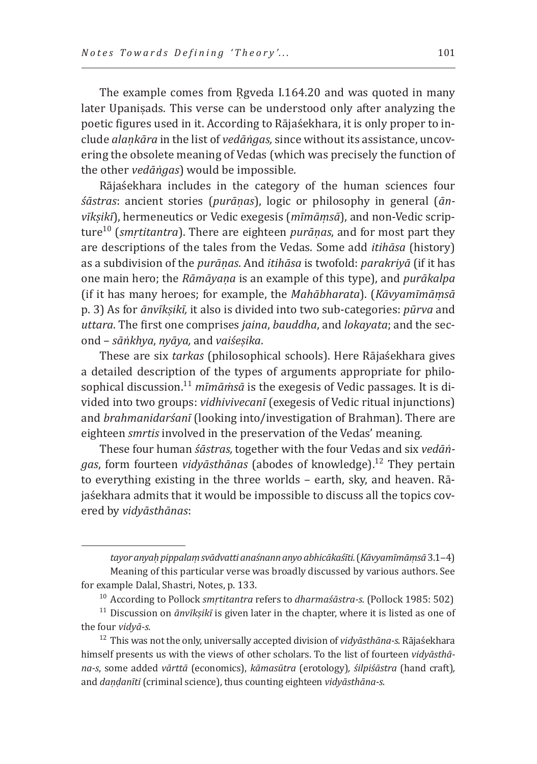The example comes from Rgveda I.164.20 and was quoted in many later Upaniṣads. This verse can be understood only after analyzing the poetic figures used in it. According to Rājaśekhara, it is only proper to include *alaṇkāra* in the list of *vedāṅgas,* since without its assistance, uncovering the obsolete meaning of Vedas (which was precisely the function of the other *vedāṅgas*) would be impossible.

Rājaśekhara includes in the category of the human sciences four *śāstras*: ancient stories (*purāṇas*), logic or philosophy in general (*ānvīkṣikī*), hermeneutics or Vedic exegesis (*mīmāṃsā*), and non-Vedic scripture10 (*smṛtitantra*). There are eighteen *purāṇas*, and for most part they are descriptions of the tales from the Vedas. Some add *itihāsa* (history) as a subdivision of the *purāṇas*. And *itihāsa* is twofold: *parakriyā* (if it has one main hero; the *Rāmāyaṇa* is an example of this type), and *purākalpa* (if it has many heroes; for example, the *Mahābharata*). (*Kāvyamīmāṃsā* p. 3) As for *ānvīkṣikī,* it also is divided into two sub-categories: *pūrva* and *uttara*. The first one comprises *jaina*, *bauddha*, and *lokayata*; and the second – *sāṅkhya*, *nyāya,* and *vaiśeṣika*.

These are six *tarkas* (philosophical schools). Here Rājaśekhara gives a detailed description of the types of arguments appropriate for philosophical discussion.11 *mīmāṁsā* is the exegesis of Vedic passages. It is divided into two groups: *vidhivivecanī* (exegesis of Vedic ritual injunctions) and *brahmanidarśanī* (looking into/investigation of Brahman). There are eighteen *smrtis* involved in the preservation of the Vedas' meaning.

These four human *śāstras,* together with the four Vedas and six *vedāṅgas*, form fourteen *vidyāsthānas* (abodes of knowledge).12 They pertain to everything existing in the three worlds – earth, sky, and heaven. Rājaśekhara admits that it would be impossible to discuss all the topics covered by *vidyāsthānas*:

*tayor anyaḥpippalaṃsvādvatti anaśnann anyo abhicākaśīti.* (*Kāvyamīmāṃsā* 3.1‒4) Meaning of this particular verse was broadly discussed by various authors. See for example Dalal, Shastri, Notes, p. 133.

<sup>&</sup>lt;sup>10</sup> According to Pollock *smṛtitantra refers to dharmaśāstra-s.* (Pollock 1985: 502)

<sup>&</sup>lt;sup>11</sup> Discussion on  $\bar{a}$ nvīkṣikī is given later in the chapter, where it is listed as one of the four *vidyā-s.*

<sup>&</sup>lt;sup>12</sup> This was not the only, universally accepted division of *vidyāsthāna-s*. Rājaśekhara himself presents us with the views of other scholars. To the list of fourteen *vidyāsthāna-s*, some added *vārttā* (economics), *kāmasūtra* (erotology)*, śilpiśāstra* (hand craft)*,*  and *daṇḍanīti* (criminal science), thus counting eighteen *vidyāsthāna-s*.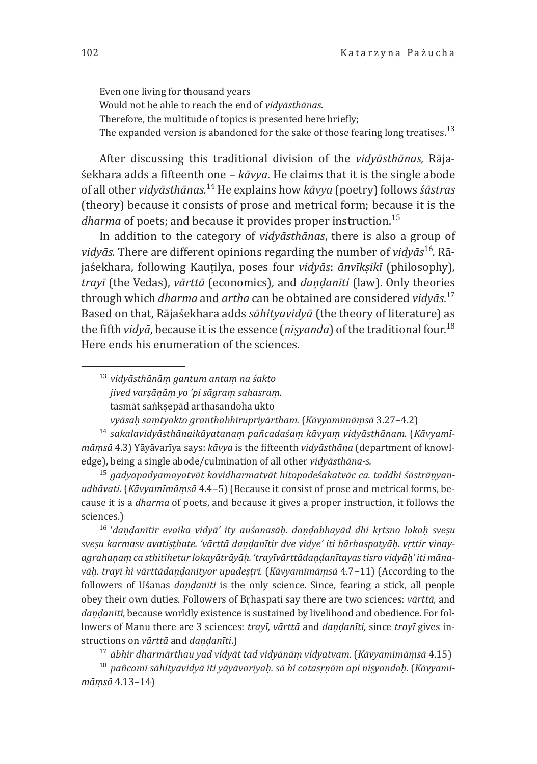Even one living for thousand years Would not be able to reach the end of *vidyāsthānas*. Therefore, the multitude of topics is presented here briefly; The expanded version is abandoned for the sake of those fearing long treatises.<sup>13</sup>

After discussing this traditional division of the *vidyāsthānas,* Rājaśekhara adds a fifteenth one – *kāvya*. He claims that it is the single abode of all other *vidyāsthānas.*14 He explains how *kāvya* (poetry) follows *śāstras*  (theory) because it consists of prose and metrical form; because it is the *dharma* of poets; and because it provides proper instruction.<sup>15</sup>

In addition to the category of *vidyāsthānas*, there is also a group of *vidyās.* There are different opinions regarding the number of *vidyās*16*.* Rājaśekhara, following Kauṭilya, poses four *vidyās*: *ānvīkṣikī* (philosophy)*, trayī* (the Vedas), *vārttā* (economics)*,* and *daṇḍanīti* (law). Only theories through which *dharma* and *artha* can be obtained are considered *vidyās*. 17 Based on that, Rājaśekhara adds *sāhityavidyā* (the theory of literature) as the fifth *vidyā*, because it is the essence (*niṣyanda*) of the traditional four.18 Here ends his enumeration of the sciences.

<sup>13</sup>*vidyāsthānāṃ gantum antaṃ na śakto jived varṣāṇāṃ yo 'pi sāgraṃ sahasraṃ.* tasmāt saṅkṣepād arthasandoha ukto

*vyāsaḥ saṃtyakto granthabhīrupriyārtham.* (*Kāvyamīmāṃsā* 3.27–4.2)

<sup>14</sup>*sakalavidyāsthānaikāyatanaṃ pañcadaśaṃ kāvyaṃ vidyāsthānam*. (*Kāvyamīmāṃsā* 4.3) Yāyāvarīya says: *kāvya* is the fifteenth *vidyāsthāna* (department of knowledge), being a single abode/culmination of all other *vidyāsthāna-s.*

15 *gadyapadyamayatvāt kavidharmatvāt hitopadeśakatvāc ca. taddhi śāstrāṇyanudhāvati.* (*Kāvyamīmāṃsā* 4.4‒5) (Because it consist of prose and metrical forms, because it is a *dharma* of poets, and because it gives a proper instruction, it follows the sciences.)

<sup>16</sup>'*daṇḍanītir evaika vidyā' ity auśanasāḥ. daṇḍabhayād dhi kṛtsno lokaḥ sveṣu sveṣu karmasv avatiṣṭhate. 'vārttā daṇḍanītir dve vidye' iti bārhaspatyāḥ. vṛttir vinayagrahaṇaṃca sthitihetur lokayātrāyāḥ. 'trayīvārttādaṇḍanītayas tisro vidyāḥ' iti mānavāḥ. trayī hi vārttādaṇḍanītyor upadeṣṭrī.* (*Kāvyamīmāṃsā* 4.7‒11) (According to the followers of Uśanas *daṇḍanīti* is the only science. Since, fearing a stick, all people obey their own duties. Followers of Bṛhaspati say there are two sciences: *vārttā,* and *daṇḍanīti*, because worldly existence is sustained by livelihood and obedience. For followers of Manu there are 3 sciences: *trayī, vārttā* and *daṇḍanīti,* since *trayī* gives instructions on *vārttā* and *daṇḍanīti*.)

<sup>17</sup>*ābhir dharmārthau yad vidyāt tad vidyānāṃ vidyatvam.* (*Kāvyamīmāṃsā* 4.15)

<sup>18</sup>*pañcamī sāhityavidyā iti yāyāvarīyaḥ. sā hi catasṛṇām api niṣyandaḥ.* (*Kāvyamīmāṃsā* 4.13‒14)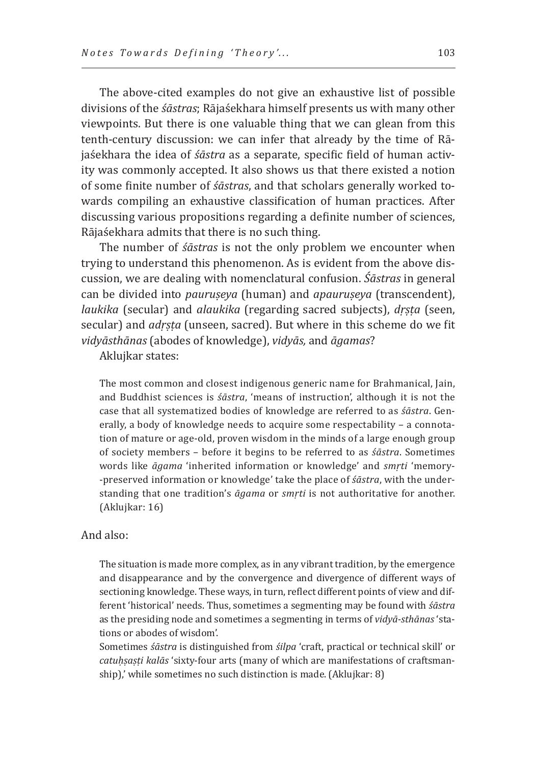The above-cited examples do not give an exhaustive list of possible divisions of the *śāstras*; Rājaśekhara himself presents us with many other viewpoints. But there is one valuable thing that we can glean from this tenth-century discussion: we can infer that already by the time of Rājaśekhara the idea of *śāstra* as a separate, specific field of human activity was commonly accepted. It also shows us that there existed a notion of some finite number of *śāstras*, and that scholars generally worked towards compiling an exhaustive classification of human practices. After discussing various propositions regarding a definite number of sciences, Rājaśekhara admits that there is no such thing.

The number of *śāstras* is not the only problem we encounter when trying to understand this phenomenon. As is evident from the above discussion, we are dealing with nomenclatural confusion. *Śāstras* in general can be divided into *pauruṣeya* (human) and *apauruṣeya* (transcendent), *laukika* (secular) and *alaukika* (regarding sacred subjects), *dṛṣṭa* (seen, secular) and *adṛṣṭa* (unseen, sacred). But where in this scheme do we fit *vidyāsthānas* (abodes of knowledge), *vidyās,* and *āgamas*?

Aklujkar states:

The most common and closest indigenous generic name for Brahmanical, Jain, and Buddhist sciences is *śāstra*, 'means of instruction', although it is not the case that all systematized bodies of knowledge are referred to as *śāstra*. Generally, a body of knowledge needs to acquire some respectability – a connotation of mature or age-old, proven wisdom in the minds of a large enough group of society members – before it begins to be referred to as *śāstra*. Sometimes words like *āgama* 'inherited information or knowledge' and *smṛti* 'memory- -preserved information or knowledge' take the place of *śāstra*, with the understanding that one tradition's *āgama* or *smṛti* is not authoritative for another. (Aklujkar: 16)

#### And also:

The situation is made more complex, as in any vibrant tradition, by the emergence and disappearance and by the convergence and divergence of different ways of sectioning knowledge. These ways, in turn, reflect different points of view and different 'historical' needs. Thus, sometimes a segmenting may be found with *śāstra* as the presiding node and sometimes a segmenting in terms of *vidyā-sthānas* 'stations or abodes of wisdom'.

Sometimes *śāstra* is distinguished from *śilpa* 'craft, practical or technical skill' or *catuḥṣaṣṭi kalās* 'sixty-four arts (many of which are manifestations of craftsmanship),' while sometimes no such distinction is made. (Aklujkar: 8)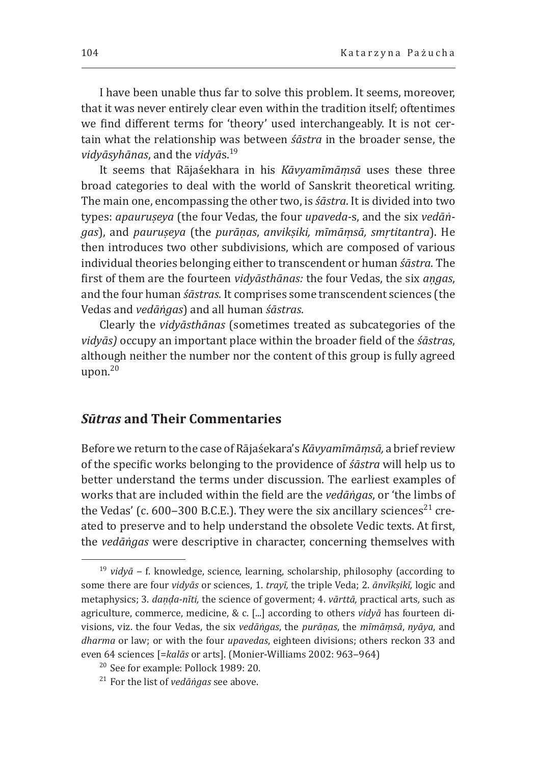I have been unable thus far to solve this problem. It seems, moreover, that it was never entirely clear even within the tradition itself; oftentimes we find different terms for 'theory' used interchangeably. It is not certain what the relationship was between *śāstra* in the broader sense, the *vidyāsyhānas*, and the *vidyā*s.19

It seems that Rājaśekhara in his *Kāvyamīmāṃsā* uses these three broad categories to deal with the world of Sanskrit theoretical writing. The main one, encompassing the other two, is *śāstra*. It is divided into two types: *apauruṣeya* (the four Vedas, the four *upaveda-*s, and the six *vedāṅgas*), and *pauruṣeya* (the *purāṇas*, *anvikṣiki, mīmāṃsā, smṛtitantra*). He then introduces two other subdivisions, which are composed of various individual theories belonging either to transcendent or human *śāstra*. The first of them are the fourteen *vidyāsthānas:* the four Vedas, the six *aṇgas*, and the four human *śāstras*. It comprises some transcendent sciences (the Vedas and *vedāṅgas*) and all human *śāstras*.

Clearly the *vidyāsthānas* (sometimes treated as subcategories of the *vidyās)* occupy an important place within the broader field of the *śāstras*, although neither the number nor the content of this group is fully agreed upon. $20$ 

### *Sūtras* **and Their Commentaries**

Before we return to the case of Rājaśekara's *Kāvyamīmāṃsā,* a brief review of the specific works belonging to the providence of *śāstra* will help us to better understand the terms under discussion. The earliest examples of works that are included within the field are the *vedāṅgas*, or 'the limbs of the Vedas' (c. 600–300 B.C.E.). They were the six ancillary sciences<sup>21</sup> created to preserve and to help understand the obsolete Vedic texts. At first, the *vedāṅgas* were descriptive in character, concerning themselves with

<sup>19</sup>*vidyā* ‒ f. knowledge, science, learning, scholarship, philosophy (according to some there are four *vidyās* or sciences, 1. *trayī,* the triple Veda; 2. *ānvīkṣikī,* logic and metaphysics; 3. *daṇḍa-nīti,* the science of goverment; 4. *vārttā,* practical arts*,* such as agriculture, commerce, medicine, & c. [...] according to others *vidyā* has fourteen divisions, viz. the four Vedas, the six *vedāṅgas*, the *purāṇas*, the *mīmāṃsā*, *nyāya*, and *dharma* or law; or with the four *upavedas*, eighteen divisions; others reckon 33 and even 64 sciences [=kalās or arts]. (Monier-Williams 2002: 963-964)

<sup>&</sup>lt;sup>20</sup> See for example: Pollock 1989: 20.

<sup>21</sup> For the list of *vedāṅgas* see above.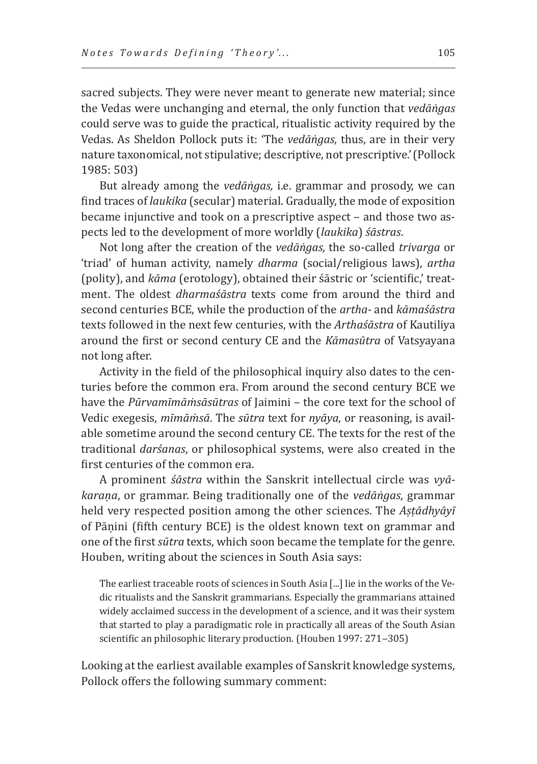sacred subjects. They were never meant to generate new material; since the Vedas were unchanging and eternal, the only function that *vedāṅgas* could serve was to guide the practical, ritualistic activity required by the Vedas. As Sheldon Pollock puts it: 'The *vedāṅgas,* thus, are in their very nature taxonomical, not stipulative; descriptive, not prescriptive.'(Pollock 1985: 503)

But already among the *vedāṅgas,* i.e. grammar and prosody, we can find traces of *laukika* (secular) material. Gradually, the mode of exposition became injunctive and took on a prescriptive aspect – and those two aspects led to the development of more worldly (*laukika*) *śāstras*.

Not long after the creation of the *vedāṅgas,* the so-called *trivarga* or 'triad' of human activity, namely *dharma* (social/religious laws), *artha*  (polity), and *kāma* (erotology), obtained their śāstric or 'scientific,' treatment. The oldest *dharmaśāstra* texts come from around the third and second centuries BCE, while the production of the *artha-* and *kāmaśāstra* texts followed in the next few centuries, with the *Arthaśāstra* of Kautiliya around the first or second century CE and the *Kāmasūtra* of Vatsyayana not long after.

Activity in the field of the philosophical inquiry also dates to the centuries before the common era. From around the second century BCE we have the *Pūrvamīmāṁsāsūtras* of Jaimini – the core text for the school of Vedic exegesis, *mīmāṁsā*. The *sūtra* text for *nyāya*, or reasoning, is available sometime around the second century CE. The texts for the rest of the traditional *darśanas*, or philosophical systems, were also created in the first centuries of the common era.

A prominent *śāstra* within the Sanskrit intellectual circle was *vyākaraṇa*, or grammar. Being traditionally one of the *vedāṅgas*, grammar held very respected position among the other sciences. The *Aṣṭādhyāyī*  of Pāṇini (fifth century BCE) is the oldest known text on grammar and one of the first *sūtra* texts, which soon became the template for the genre. Houben, writing about the sciences in South Asia says:

The earliest traceable roots of sciences in South Asia [...] lie in the works of the Vedic ritualists and the Sanskrit grammarians. Especially the grammarians attained widely acclaimed success in the development of a science, and it was their system that started to play a paradigmatic role in practically all areas of the South Asian scientific an philosophic literary production. (Houben 1997: 271-305)

Looking at the earliest available examples of Sanskrit knowledge systems, Pollock offers the following summary comment: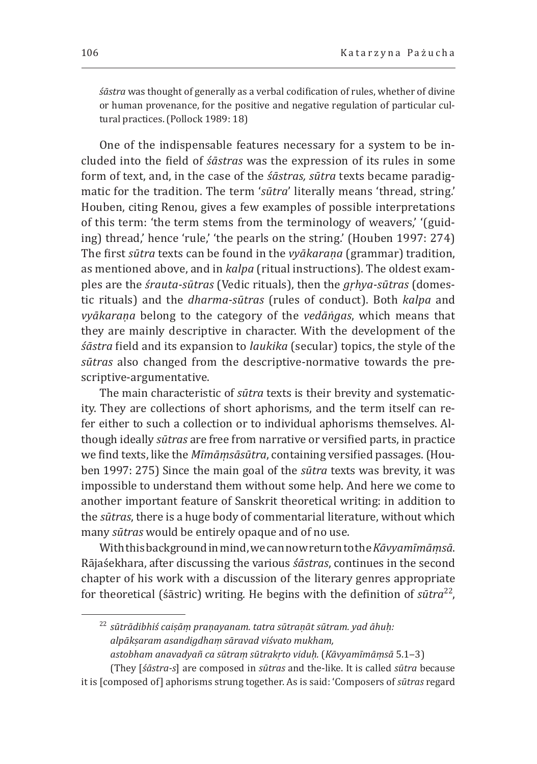*śāstra* was thought of generally as a verbal codification of rules, whether of divine or human provenance, for the positive and negative regulation of particular cultural practices.(Pollock 1989: 18)

One of the indispensable features necessary for a system to be included into the field of *śāstras* was the expression of its rules in some form of text, and, in the case of the *śāstras, sūtra* texts became paradigmatic for the tradition. The term '*sūtra*' literally means 'thread, string.' Houben, citing Renou, gives a few examples of possible interpretations of this term: 'the term stems from the terminology of weavers,' '(guiding) thread,' hence 'rule,' 'the pearls on the string.' (Houben 1997: 274) The first *sūtra* texts can be found in the *vyākaraṇa* (grammar) tradition, as mentioned above, and in *kalpa* (ritual instructions). The oldest examples are the *śrauta-sūtras* (Vedic rituals), then the *gṛhya-sūtras* (domestic rituals) and the *dharma-sūtras* (rules of conduct). Both *kalpa* and *vyākaraṇa* belong to the category of the *vedāṅgas*, which means that they are mainly descriptive in character. With the development of the *śāstra* field and its expansion to *laukika* (secular) topics, the style of the *sūtras* also changed from the descriptive-normative towards the prescriptive-argumentative.

The main characteristic of *sūtra* texts is their brevity and systematicity. They are collections of short aphorisms, and the term itself can refer either to such a collection or to individual aphorisms themselves. Although ideally *sūtras* are free from narrative or versified parts, in practice we find texts, like the *Mīmāṃsāsūtra*, containing versified passages. (Houben 1997: 275) Since the main goal of the *sūtra* texts was brevity, it was impossible to understand them without some help. And here we come to another important feature of Sanskrit theoretical writing: in addition to the *sūtras*, there is a huge body of commentarial literature, without which many *sūtras* would be entirely opaque and of no use.

With this background in mind, we can now return to the *Kāvyamīmāṃsā*. Rājaśekhara, after discussing the various *śāstras*, continues in the second chapter of his work with a discussion of the literary genres appropriate for theoretical (śāstric) writing. He begins with the definition of *sūtra*22,

<sup>22</sup>*sūtrādibhiś caiṣāṃ praṇayanam. tatra sūtraṇāt sūtram. yad āhuḥ: alpākṣaram asandigdhaṃ sāravad viśvato mukham,*

*astobham anavadyañ ca sūtraṃ sūtrakṛto viduḥ.* (*Kāvyamīmāṃsā* 5.1‒3)

<sup>(</sup>They [*śāstra-s*] are composed in *sūtras* and the-like. It is called *sūtra* because it is [composed of] aphorisms strung together. As is said: 'Composers of *sūtras* regard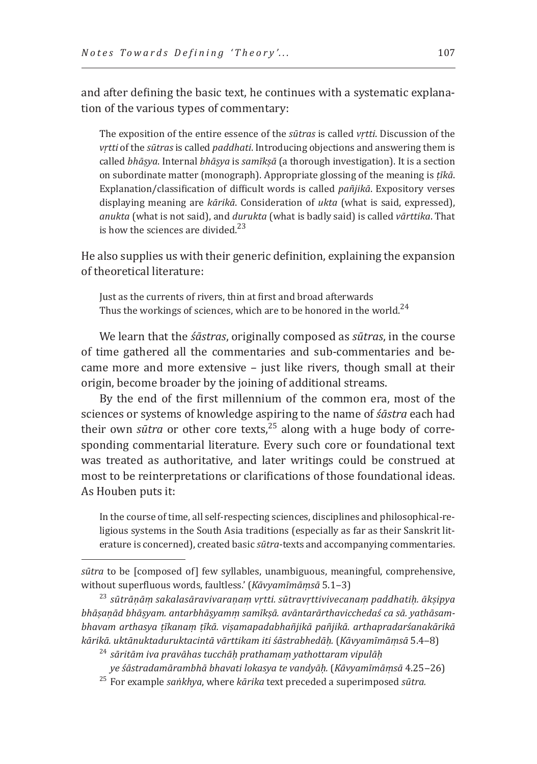and after defining the basic text, he continues with a systematic explanation of the various types of commentary:

The exposition of the entire essence of the *sūtras* is called *vṛtti*. Discussion of the *vṛtti* of the *sūtras* is called *paddhati*. Introducing objections and answering them is called *bhāṣya*. Internal *bhāṣya* is *samīkṣā* (a thorough investigation). It is a section on subordinate matter (monograph). Appropriate glossing of the meaning is *ṭīkā*. Explanation/classification of difficult words is called *pañjikā*. Expository verses displaying meaning are *kārikā*. Consideration of *ukta* (what is said, expressed), *anukta* (what is not said), and *durukta* (what is badly said) is called *vārttika*. That is how the sciences are divided. $^{23}$ 

He also supplies us with their generic definition, explaining the expansion of theoretical literature:

Just as the currents of rivers, thin at first and broad afterwards Thus the workings of sciences, which are to be honored in the world.<sup>24</sup>

We learn that the *śāstras*, originally composed as *sūtras*, in the course of time gathered all the commentaries and sub-commentaries and became more and more extensive – just like rivers, though small at their origin, become broader by the joining of additional streams.

By the end of the first millennium of the common era, most of the sciences or systems of knowledge aspiring to the name of *śāstra* each had their own *sūtra* or other core texts,<sup>25</sup> along with a huge body of corresponding commentarial literature. Every such core or foundational text was treated as authoritative, and later writings could be construed at most to be reinterpretations or clarifications of those foundational ideas. As Houben puts it:

In the course of time, all self-respecting sciences, disciplines and philosophical-religious systems in the South Asia traditions (especially as far as their Sanskrit literature is concerned), created basic *sūtra*-texts and accompanying commentaries.

25 For example *saṅkhya*, where *kārika* text preceded a superimposed *sūtra.*

*sūtra* to be [composed of] few syllables, unambiguous, meaningful, comprehensive, without superfluous words, faultless.' (*Kāvyamīmāmsā* 5.1–3)

without superfluous words, faultless.' (*Kāvyamīmāṃsā* 5.1‒3) 23 *sūtrāṇāṃ sakalasāravivaraṇaṃ vṛtti. sūtravṛttivivecanaṃ paddhatiḥ. ākṣipya bhāṣaṇād bhāṣyam. antarbhāṣyamṃ samīkṣā. avāntarārthavicchedaś ca sā. yathāsambhavam arthasya ṭīkanaṃ ṭīkā. viṣamapadabhañjikā pañjikā. arthapradarśanakārikā kārikā. uktānuktaduruktacintā vārttikam iti śāstrabhedāḥ.* (*Kāvyamīmāṃsā* 5.4‒8)

<sup>24</sup>*sāritām iva pravāhas tucchāḥ prathamaṃ yathottaram vipulāḥ*

*ye śāstradamārambhā bhavati lokasya te vandyāḥ.* (*Kāvyamīmāṃsā* 4.25‒26)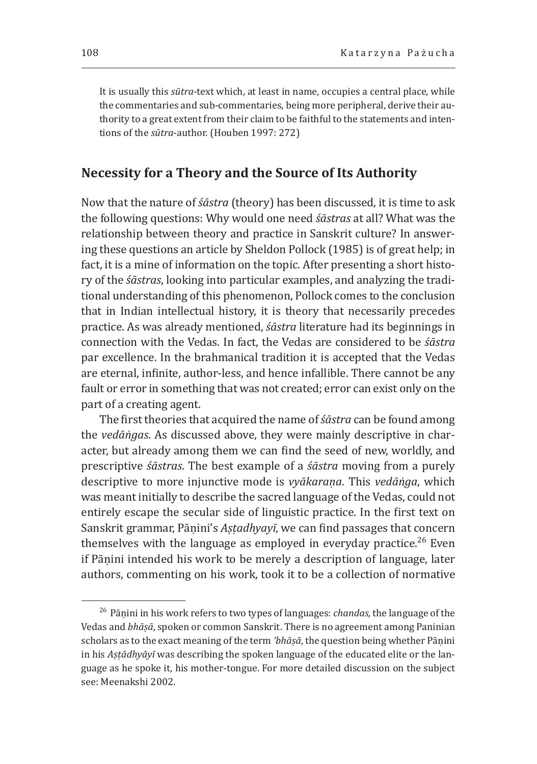It is usually this *sūtra*-text which, at least in name, occupies a central place, while the commentaries and sub-commentaries, being more peripheral, derive their authority to a great extent from their claim to be faithful to the statements and intentions of the *sūtra*-author. (Houben 1997: 272)

# **Necessity for a Theory and the Source of Its Authority**

Now that the nature of *śāstra* (theory) has been discussed, it is time to ask the following questions: Why would one need *śāstras* at all? What was the relationship between theory and practice in Sanskrit culture? In answering these questions an article by Sheldon Pollock (1985) is of great help; in fact, it is a mine of information on the topic. After presenting a short history of the *śāstras*, looking into particular examples, and analyzing the traditional understanding of this phenomenon, Pollock comes to the conclusion that in Indian intellectual history, it is theory that necessarily precedes practice. As was already mentioned, *śāstra* literature had its beginnings in connection with the Vedas. In fact, the Vedas are considered to be *śāstra*  par excellence. In the brahmanical tradition it is accepted that the Vedas are eternal, infinite, author-less, and hence infallible. There cannot be any fault or error in something that was not created; error can exist only on the part of a creating agent.

The first theories that acquired the name of *śāstra* can be found among the *vedāṅgas*. As discussed above, they were mainly descriptive in character, but already among them we can find the seed of new, worldly, and prescriptive *śāstras*. The best example of a *śāstra* moving from a purely descriptive to more injunctive mode is *vyākaraṇa*. This *vedāṅga*, which was meant initially to describe the sacred language of the Vedas, could not entirely escape the secular side of linguistic practice. In the first text on Sanskrit grammar, Pānini's *Astadhyayī*, we can find passages that concern themselves with the language as employed in everyday practice.<sup>26</sup> Even if Pāṇini intended his work to be merely a description of language, later authors, commenting on his work, took it to be a collection of normative

<sup>26</sup> Pāṇini in his work refers to two types of languages: *chandas,* the language of the Vedas and *bhāṣā*, spoken or common Sanskrit. There is no agreement among Paninian scholars as to the exact meaning of the term *'bhāṣā*, the question being whether Pāṇini in his *Aṣṭādhyāyī* was describing the spoken language of the educated elite or the language as he spoke it, his mother-tongue. For more detailed discussion on the subject see: Meenakshi 2002.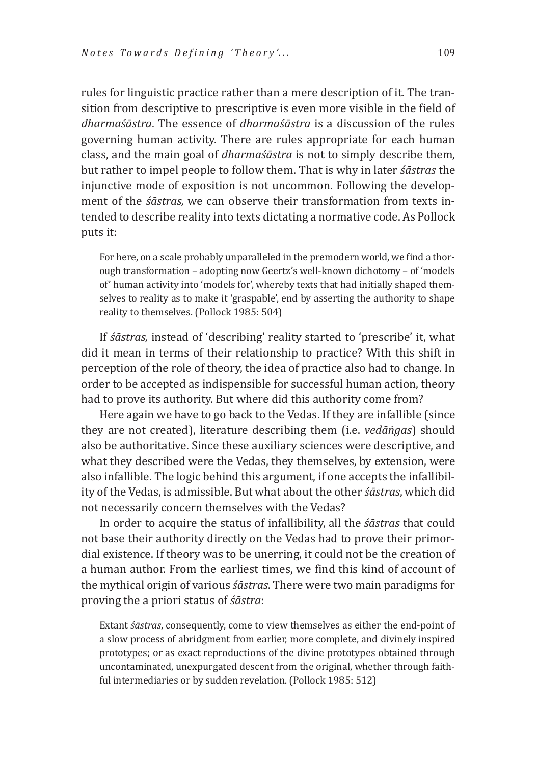rules for linguistic practice rather than a mere description of it. The transition from descriptive to prescriptive is even more visible in the field of *dharmaśāstra*. The essence of *dharmaśāstra* is a discussion of the rules governing human activity. There are rules appropriate for each human class, and the main goal of *dharmaśāstra* is not to simply describe them, but rather to impel people to follow them. That is why in later *śāstras* the injunctive mode of exposition is not uncommon. Following the development of the *śāstras,* we can observe their transformation from texts intended to describe reality into texts dictating a normative code. As Pollock puts it:

For here, on a scale probably unparalleled in the premodern world, we find a thorough transformation – adopting now Geertz's well-known dichotomy – of 'models of' human activity into 'models for', whereby texts that had initially shaped themselves to reality as to make it 'graspable', end by asserting the authority to shape reality to themselves. (Pollock 1985: 504)

If *śāstras,* instead of 'describing' reality started to 'prescribe' it, what did it mean in terms of their relationship to practice? With this shift in perception of the role of theory, the idea of practice also had to change. In order to be accepted as indispensible for successful human action, theory had to prove its authority. But where did this authority come from?

Here again we have to go back to the Vedas. If they are infallible (since they are not created), literature describing them (i.e. *vedāṅgas*) should also be authoritative. Since these auxiliary sciences were descriptive, and what they described were the Vedas, they themselves, by extension, were also infallible. The logic behind this argument, if one accepts the infallibility of the Vedas, is admissible. But what about the other *śāstras*, which did not necessarily concern themselves with the Vedas?

In order to acquire the status of infallibility, all the *śāstras* that could not base their authority directly on the Vedas had to prove their primordial existence. If theory was to be unerring, it could not be the creation of a human author. From the earliest times, we find this kind of account of the mythical origin of various *śāstras*. There were two main paradigms for proving the a priori status of *śāstra*:

Extant *śāstras*, consequently, come to view themselves as either the end-point of a slow process of abridgment from earlier, more complete, and divinely inspired prototypes; or as exact reproductions of the divine prototypes obtained through uncontaminated, unexpurgated descent from the original, whether through faithful intermediaries or by sudden revelation. (Pollock 1985: 512)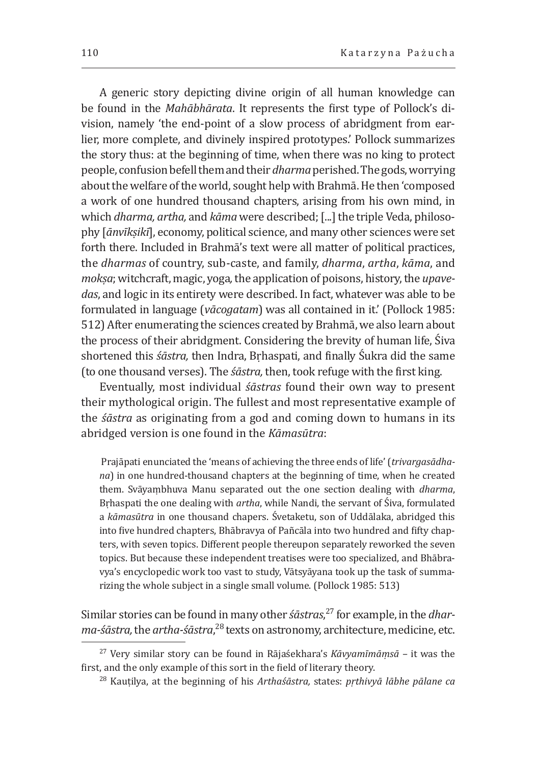A generic story depicting divine origin of all human knowledge can be found in the *Mahābhārata*. It represents the first type of Pollock's division, namely 'the end-point of a slow process of abridgment from earlier, more complete, and divinely inspired prototypes.' Pollock summarizes the story thus: at the beginning of time, when there was no king to protect people, confusion befell them and their *dharma* perished. The gods, worrying about the welfare of the world, sought help with Brahmā. He then 'composed a work of one hundred thousand chapters, arising from his own mind, in which *dharma, artha,* and *kāma* were described; [...] the triple Veda, philosophy [*ānvīkṣikī*], economy, political science, and many other sciences were set forth there. Included in Brahmā's text were all matter of political practices, the *dharmas* of country, sub-caste, and family, *dharma*, *artha*, *kāma*, and *mokṣa*; witchcraft, magic, yoga*,* the application of poisons, history, the *upavedas*, and logic in its entirety were described. In fact, whatever was able to be formulated in language (*vācogatam*) was all contained in it.' (Pollock 1985: 512) After enumerating the sciences created by Brahmā, we also learn about the process of their abridgment. Considering the brevity of human life, Śiva shortened this *śāstra,* then Indra, Bṛhaspati, and finally Śukra did the same (to one thousand verses). The *śāstra,* then, took refuge with the first king.

Eventually, most individual *śāstras* found their own way to present their mythological origin. The fullest and most representative example of the *śāstra* as originating from a god and coming down to humans in its abridged version is one found in the *Kāmasūtra*:

 Prajāpati enunciated the 'means of achieving the three ends of life' (*trivargasādhana*) in one hundred-thousand chapters at the beginning of time, when he created them. Svāyaṃbhuva Manu separated out the one section dealing with *dharma*, Bṛhaspati the one dealing with *artha*, while Nandi, the servant of Śiva, formulated a *kāmasūtra* in one thousand chapers. Śvetaketu, son of Uddālaka, abridged this into five hundred chapters, Bhābravya of Pañcāla into two hundred and fifty chapters, with seven topics. Different people thereupon separately reworked the seven topics. But because these independent treatises were too specialized, and Bhābravya's encyclopedic work too vast to study, Vātsyāyana took up the task of summarizing the whole subject in a single small volume. (Pollock 1985: 513)

Similar stories can be found in many other *śāstras*, <sup>27</sup> for example, in the *dharma-śāstra,* the *artha-śāstra*, <sup>28</sup> texts on astronomy, architecture, medicine, etc.

<sup>&</sup>lt;sup>27</sup> Very similar story can be found in Rājaśekhara's *Kāvyamīmāṃsā* – it was the first, and the only example of this sort in the field of literary theory.

first, and the only example of this sort in the field of literary theory. 28 Kauṭilya, at the beginning of his *Arthaśāstra,* states: *pṛthivyā lābhe pālane ca*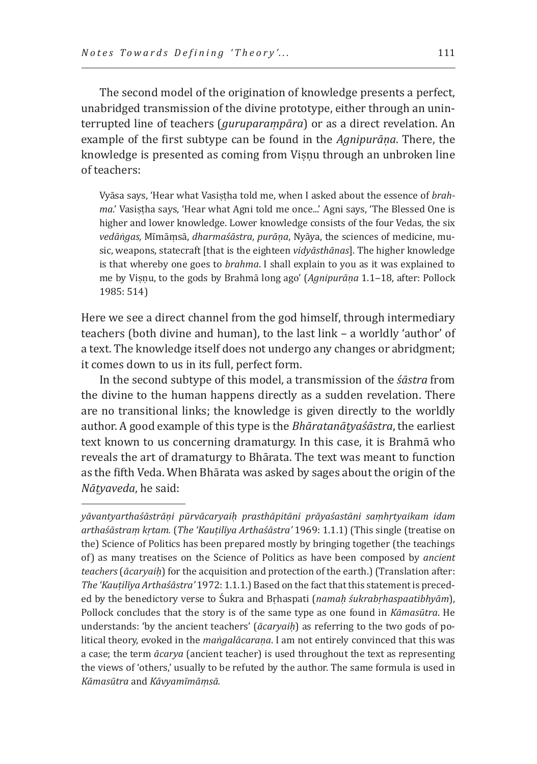The second model of the origination of knowledge presents a perfect, unabridged transmission of the divine prototype, either through an uninterrupted line of teachers (*guruparaṃpāra*) or as a direct revelation. An example of the first subtype can be found in the *Agnipurāṇa*. There, the knowledge is presented as coming from Viṣṇu through an unbroken line of teachers:

Vyāsa says, 'Hear what Vasiṣṭha told me, when I asked about the essence of *brahma*.' Vasiṣṭha says, 'Hear what Agni told me once...' Agni says, 'The Blessed One is higher and lower knowledge. Lower knowledge consists of the four Vedas*,* the six *vedāṅgas,* Mīmāṃsā, *dharmaśāstra*, *purāṇa*, Nyāya, the sciences of medicine, music, weapons, statecraft [that is the eighteen *vidyāsthānas*]. The higher knowledge is that whereby one goes to *brahma*. I shall explain to you as it was explained to me by Viṣṇu, to the gods by Brahmā long ago' (*Agnipurāṇa* 1.1‒18, after: Pollock 1985: 514)

Here we see a direct channel from the god himself, through intermediary teachers (both divine and human), to the last link – a worldly 'author' of a text. The knowledge itself does not undergo any changes or abridgment; it comes down to us in its full, perfect form.

In the second subtype of this model, a transmission of the *śāstra* from the divine to the human happens directly as a sudden revelation. There are no transitional links; the knowledge is given directly to the worldly author. A good example of this type is the *Bhāratanāṭyaśāstra*, the earliest text known to us concerning dramaturgy. In this case, it is Brahmā who reveals the art of dramaturgy to Bhārata. The text was meant to function as the fifth Veda. When Bhārata was asked by sages about the origin of the *Nāṭyaveda*, he said:

*yāvantyarthaśāstrāṇi pūrvācaryaiḥ prasthāpitāni prāyaśastāni saṃhṛtyaikam idam arthaśāstraṃ kṛtam.* (*The 'Kauṭilīya Arthaśāstra'* 1969: 1.1.1) (This single (treatise on the) Science of Politics has been prepared mostly by bringing together (the teachings of) as many treatises on the Science of Politics as have been composed by *ancient teachers* (*ācaryaiḥ*) for the acquisition and protection of the earth.) (Translation after: *The 'Kauṭilīya Arthaśāstra'* 1972: 1.1.1.) Based on the fact that this statement is preceded by the benedictory verse to Śukra and Bṛhaspati (*namaḥ śukrabṛhaspaatibhyām*), Pollock concludes that the story is of the same type as one found in *Kāmasūtra*. He understands: 'by the ancient teachers' (*ācaryaiḥ*) as referring to the two gods of political theory, evoked in the *maṅgalācaraṇa*. I am not entirely convinced that this was a case; the term *ācarya* (ancient teacher) is used throughout the text as representing the views of 'others,' usually to be refuted by the author. The same formula is used in *Kāmasūtra* and *Kāvyamīmāṃsā.*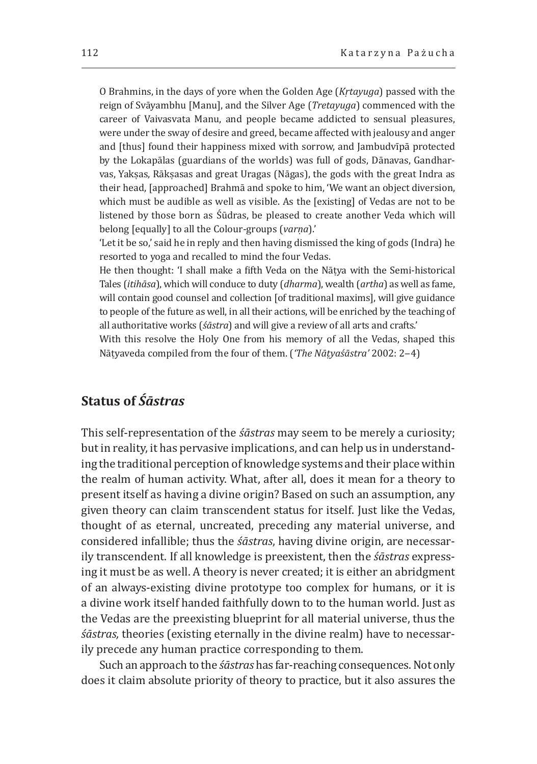O Brahmins, in the days of yore when the Golden Age (*Kṛtayuga*) passed with the reign of Svāyambhu [Manu], and the Silver Age (*Tretayuga*) commenced with the career of Vaivasvata Manu, and people became addicted to sensual pleasures, were under the sway of desire and greed, became affected with jealousy and anger and [thus] found their happiness mixed with sorrow, and Jambudvīpā protected by the Lokapālas (guardians of the worlds) was full of gods, Dānavas, Gandharvas, Yakṣas, Rākṣasas and great Uragas (Nāgas), the gods with the great Indra as their head, [approached] Brahmā and spoke to him, 'We want an object diversion, which must be audible as well as visible. As the [existing] of Vedas are not to be listened by those born as Śūdras, be pleased to create another Veda which will belong [equally] to all the Colour-groups (*varṇa*).'

'Let it be so,' said he in reply and then having dismissed the king of gods (Indra) he resorted to yoga and recalled to mind the four Vedas.

He then thought: 'I shall make a fifth Veda on the Nāṭya with the Semi-historical Tales (*itihāsa*), which will conduce to duty (*dharma*), wealth (*artha*) as well as fame, will contain good counsel and collection [of traditional maxims], will give guidance to people of the future as well, in all their actions, will be enriched by the teaching of all authoritative works (*śāstra*) and will give a review of all arts and crafts.'

With this resolve the Holy One from his memory of all the Vedas, shaped this Nāṭyaveda compiled from the four of them. (*'The Nāṭyaśāstra'* 2002: 2‒4)

# **Status of** *Śāstras*

This self-representation of the *śāstras* may seem to be merely a curiosity; but in reality, it has pervasive implications, and can help us in understanding the traditional perception of knowledge systems and their place within the realm of human activity. What, after all, does it mean for a theory to present itself as having a divine origin? Based on such an assumption, any given theory can claim transcendent status for itself. Just like the Vedas, thought of as eternal, uncreated, preceding any material universe, and considered infallible; thus the *śāstras*, having divine origin, are necessarily transcendent. If all knowledge is preexistent, then the *śāstras* expressing it must be as well. A theory is never created; it is either an abridgment of an always-existing divine prototype too complex for humans, or it is a divine work itself handed faithfully down to to the human world. Just as the Vedas are the preexisting blueprint for all material universe, thus the *śāstras,* theories (existing eternally in the divine realm) have to necessarily precede any human practice corresponding to them.

Such an approach to the *śāstras* has far-reaching consequences. Not only does it claim absolute priority of theory to practice, but it also assures the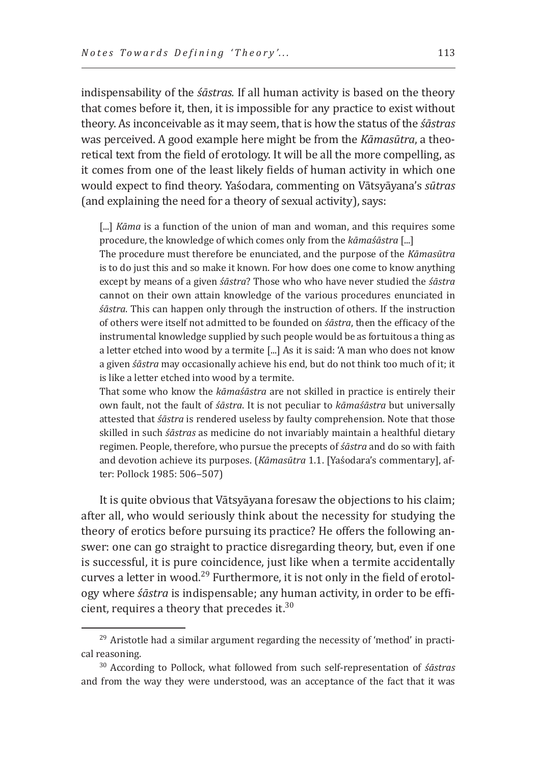indispensability of the *śāstras.* If all human activity is based on the theory that comes before it, then, it is impossible for any practice to exist without theory. As inconceivable as it may seem, that is how the status of the *śāstras*  was perceived. A good example here might be from the *Kāmasūtra*, a theoretical text from the field of erotology. It will be all the more compelling, as it comes from one of the least likely fields of human activity in which one would expect to find theory. Yaśodara, commenting on Vātsyāyana's *sūtras* (and explaining the need for a theory of sexual activity), says:

[...] *Kāma* is a function of the union of man and woman, and this requires some procedure, the knowledge of which comes only from the *kāmaśāstra* [...]

The procedure must therefore be enunciated, and the purpose of the *Kāmasūtra* is to do just this and so make it known. For how does one come to know anything except by means of a given *śāstra*? Those who who have never studied the *śāstra* cannot on their own attain knowledge of the various procedures enunciated in *śāstra*. This can happen only through the instruction of others. If the instruction of others were itself not admitted to be founded on *śāstra*, then the efficacy of the instrumental knowledge supplied by such people would be as fortuitous a thing as a letter etched into wood by a termite [...] As it is said: 'A man who does not know a given *śāstra* may occasionally achieve his end, but do not think too much of it; it is like a letter etched into wood by a termite.

That some who know the *kāmaśāstra* are not skilled in practice is entirely their own fault, not the fault of *śāstra*. It is not peculiar to *kāmaśāstra* but universally attested that *śāstra* is rendered useless by faulty comprehension. Note that those skilled in such *śāstras* as medicine do not invariably maintain a healthful dietary regimen. People, therefore, who pursue the precepts of *śāstra* and do so with faith and devotion achieve its purposes. (*Kāmasūtra* 1.1. [Yaśodara's commentary], after: Pollock 1985: 506-507)

It is quite obvious that Vātsyāyana foresaw the objections to his claim; after all, who would seriously think about the necessity for studying the theory of erotics before pursuing its practice? He offers the following answer: one can go straight to practice disregarding theory, but, even if one is successful, it is pure coincidence, just like when a termite accidentally curves a letter in wood.<sup>29</sup> Furthermore, it is not only in the field of erotology where *śāstra* is indispensable; any human activity, in order to be efficient, requires a theory that precedes it.<sup>30</sup>

 $29$  Aristotle had a similar argument regarding the necessity of 'method' in practical reasoning.

<sup>&</sup>lt;sup>30</sup> According to Pollock, what followed from such self-representation of *śāstras* and from the way they were understood, was an acceptance of the fact that it was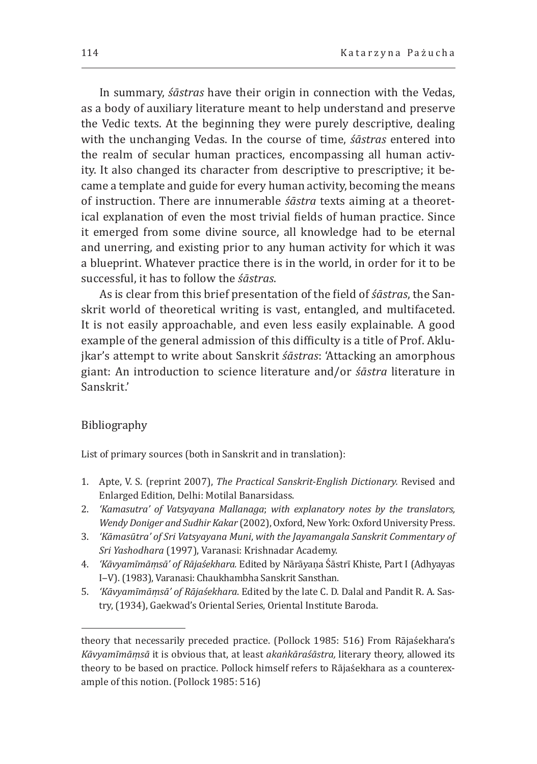In summary, *śāstras* have their origin in connection with the Vedas, as a body of auxiliary literature meant to help understand and preserve the Vedic texts. At the beginning they were purely descriptive, dealing with the unchanging Vedas. In the course of time, *śāstras* entered into the realm of secular human practices, encompassing all human activity. It also changed its character from descriptive to prescriptive; it became a template and guide for every human activity, becoming the means of instruction. There are innumerable *śāstra* texts aiming at a theoretical explanation of even the most trivial fields of human practice. Since it emerged from some divine source, all knowledge had to be eternal and unerring, and existing prior to any human activity for which it was a blueprint. Whatever practice there is in the world, in order for it to be successful, it has to follow the *śāstras*.

As is clear from this brief presentation of the field of *śāstras*, the Sanskrit world of theoretical writing is vast, entangled, and multifaceted. It is not easily approachable, and even less easily explainable. A good example of the general admission of this difficulty is a title of Prof. Aklujkar's attempt to write about Sanskrit *śāstras*: 'Attacking an amorphous giant: An introduction to science literature and/or *śāstra* literature in Sanskrit.'

#### Bibliography

List of primary sources (both in Sanskrit and in translation):

- 1. Apte, V. S. (reprint 2007), *The Practical Sanskrit-English Dictionary.* Revised and Enlarged Edition, Delhi: Motilal Banarsidass.
- 2. *'Kamasutra' of Vatsyayana Mallanaga*; *with explanatory notes by the translators, Wendy Doniger and Sudhir Kakar* (2002), Oxford, New York: Oxford University Press.
- 3. *'Kāmasūtra' of Sri Vatsyayana Muni*, *with the Jayamangala Sanskrit Commentary of Sri Yashodhara* (1997), Varanasi: Krishnadar Academy.
- 4. *'Kāvyamīmāṃsā' of Rājaśekhara.* Edited by Nārāyaṇa Śāstrī Khiste, Part I (Adhyayas I‒V). (1983), Varanasi: Chaukhambha Sanskrit Sansthan.
- 5. *'Kāvyamīmāṃsā' of Rājaśekhara*. Edited by the late C. D. Dalal and Pandit R. A. Sastry, (1934), Gaekwad's Oriental Series, Oriental Institute Baroda.

theory that necessarily preceded practice. (Pollock 1985: 516) From Rājaśekhara's *Kāvyamīmāṃsā* it is obvious that, at least *akaṅkāraśāstra,* literary theory, allowed its theory to be based on practice. Pollock himself refers to Rājaśekhara as a counterexample of this notion. (Pollock 1985: 516)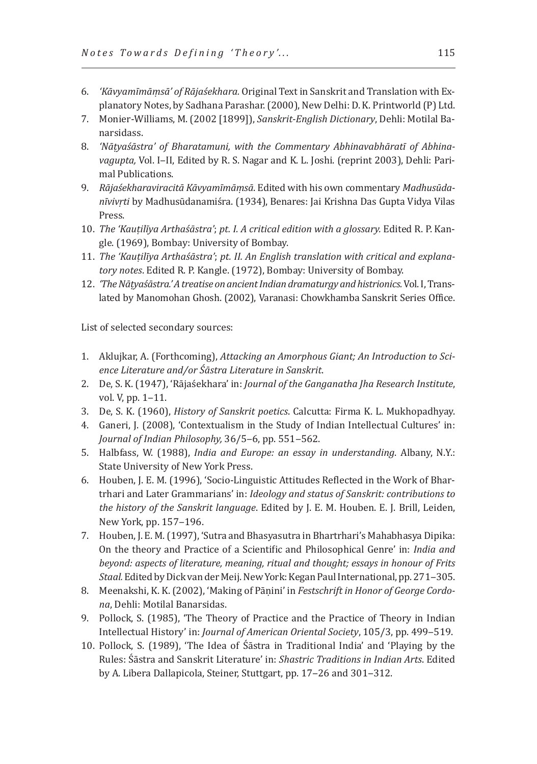- 6. *'Kāvyamīmāṃsā' of Rājaśekhara.* Original Text in Sanskrit and Translation with Explanatory Notes, by Sadhana Parashar. (2000), New Delhi: D. K. Printworld (P) Ltd.
- 7. Monier-Williams, M. (2002 [1899]), *Sanskrit-English Dictionary*, Dehli: Motilal Banarsidass.
- 8. *'Nāṭyaśāstra' of Bharatamuni, with the Commentary Abhinavabhāratī of Abhinavagupta,* Vol. I‒II, Edited by R. S. Nagar and K. L. Joshi. (reprint 2003), Dehli: Parimal Publications.
- 9. *Rājaśekharaviracitā Kāvyamīmāṃsā*. Edited with his own commentary *Madhusūdanīvivṛti* by Madhusūdanamiśra. (1934), Benares: Jai Krishna Das Gupta Vidya Vilas Press.
- 10. *The 'Kauṭilīya Arthaśāstra'*; *pt. I. A critical edition with a glossary.* Edited R. P. Kangle. (1969), Bombay: University of Bombay.
- 11. *The 'Kauṭilīya Arthaśāstra'*; *pt. II. An English translation with critical and explanatory notes*. Edited R. P. Kangle. (1972), Bombay: University of Bombay.
- 12. *'The Nāṭyaśāstra.' A treatise on ancient Indian dramaturgy and histrionics.* Vol. I, Translated by Manomohan Ghosh. (2002), Varanasi: Chowkhamba Sanskrit Series Office.

List of selected secondary sources:

- 1. Aklujkar, A. (Forthcoming), *Attacking an Amorphous Giant; An Introduction to Science Literature and/or Śāstra Literature in Sanskrit*.
- 2. De, S. K. (1947), 'Rājaśekhara' in: *Journal of the Ganganatha Jha Research Institute*, vol.  $V$ , pp.  $1 - 11$ .
- 3. De, S. K. (1960), *History of Sanskrit poetics*. Calcutta: Firma K. L. Mukhopadhyay.
- 4. Ganeri, J. (2008), 'Contextualism in the Study of Indian Intellectual Cultures' in: Journal of Indian Philosophy, 36/5-6, pp. 551-562.
- 5. Halbfass, W. (1988), *India and Europe: an essay in understanding*. Albany, N.Y.: State University of New York Press.
- 6. Houben, J. E. M. (1996), 'Socio-Linguistic Attitudes Reflected in the Work of Bhartrhari and Later Grammarians' in: *Ideology and status of Sanskrit: contributions to the history of the Sanskrit language*. Edited by J. E. M. Houben. E. J. Brill, Leiden, New York, pp. 157-196.
- 7. Houben, J. E. M. (1997), 'Sutra and Bhasyasutra in Bhartrhari's Mahabhasya Dipika: On the theory and Practice of a Scientific and Philosophical Genre' in: *India and beyond: aspects of literature, meaning, ritual and thought; essays in honour of Frits Staal.* Edited by Dick van der Meij. New York: Kegan Paul International, pp. 271-305.
- 8. Meenakshi, K. K. (2002), 'Making of Pāṇini' in *Festschrift in Honor of George Cordona*, Dehli: Motilal Banarsidas.
- 9. Pollock, S. (1985), 'The Theory of Practice and the Practice of Theory in Indian Intellectual History' in: *Journal of American Oriental Society*, 105/3, pp. 499‒519.
- 10. Pollock, S. (1989), 'The Idea of Śāstra in Traditional India' and 'Playing by the Rules: Śāstra and Sanskrit Literature' in: *Shastric Traditions in Indian Arts*. Edited by A. Libera Dallapicola, Steiner, Stuttgart, pp. 17–26 and 301–312.